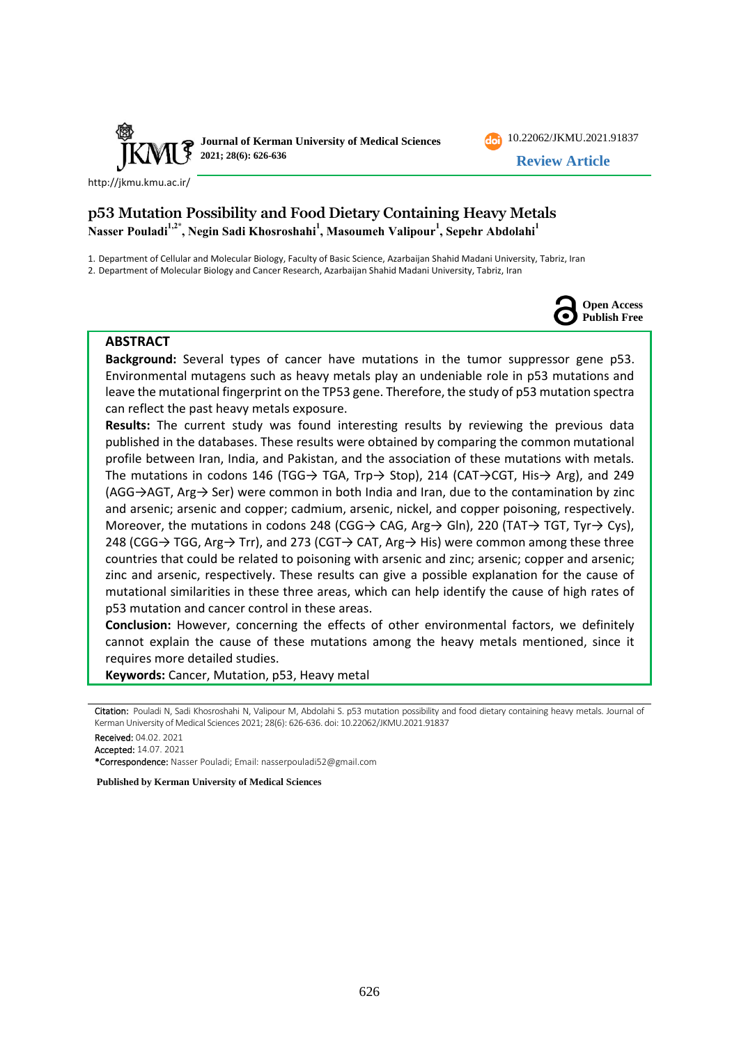

<http://jkmu.kmu.ac.ir/>

# **p53 Mutation Possibility and Food Dietary Containing Heavy Metals Nasser Pouladi1,2\* , Negin Sadi Khosroshahi<sup>1</sup> , Masoumeh Valipour<sup>1</sup> , Sepehr Abdolahi<sup>1</sup>**

1. Department of Cellular and Molecular Biology, Faculty of Basic Science, Azarbaijan Shahid Madani University, Tabriz, Iran

2. Department of Molecular Biology and Cancer Research, Azarbaijan Shahid Madani University, Tabriz, Iran



[10.22062/JKMU.2021.91837](https://dx.doi.org/10.22062/jkmu.2021.91837) **Review Article**

#### **ABSTRACT**

**Background:** Several types of cancer have mutations in the tumor suppressor gene p53. Environmental mutagens such as heavy metals play an undeniable role in p53 mutations and leave the mutational fingerprint on the TP53 gene. Therefore, the study of p53 mutation spectra can reflect the past heavy metals exposure.

**Results:** The current study was found interesting results by reviewing the previous data published in the databases. These results were obtained by comparing the common mutational profile between Iran, India, and Pakistan, and the association of these mutations with metals. The mutations in codons 146 (TGG→ TGA, Trp→ Stop), 214 (CAT→CGT, His→ Arg), and 249 (AGG→AGT, Arg→ Ser) were common in both India and Iran, due to the contamination by zinc and arsenic; arsenic and copper; cadmium, arsenic, nickel, and copper poisoning, respectively. Moreover, the mutations in codons 248 (CGG→ CAG, Arg→ Gln), 220 (TAT→ TGT, Tyr→ Cys), 248 (CGG→ TGG, Arg→ Trr), and 273 (CGT→ CAT, Arg→ His) were common among these three countries that could be related to poisoning with arsenic and zinc; arsenic; copper and arsenic; zinc and arsenic, respectively. These results can give a possible explanation for the cause of mutational similarities in these three areas, which can help identify the cause of high rates of p53 mutation and cancer control in these areas.

**Conclusion:** However, concerning the effects of other environmental factors, we definitely cannot explain the cause of these mutations among the heavy metals mentioned, since it requires more detailed studies.

**Keywords:** Cancer, Mutation, p53, Heavy metal

Received: 04.02. 2021

Accepted: 14.07. 2021

\*Correspondence: Nasser Pouladi; Email: [nasserpouladi52@gmail.com](mailto:nasserpouladi52@gmail.com) 

**Published by Kerman University of Medical Sciences**

Citation: Pouladi N, Sadi Khosroshahi N, Valipour M, Abdolahi S. p53 mutation possibility and food dietary containing heavy metals. Journal of Kerman University of Medical Sciences 2021; 28(6): 626-636. doi: [10.22062/JKMU.2021.91837](https://dx.doi.org/10.22062/jkmu.2021.91837)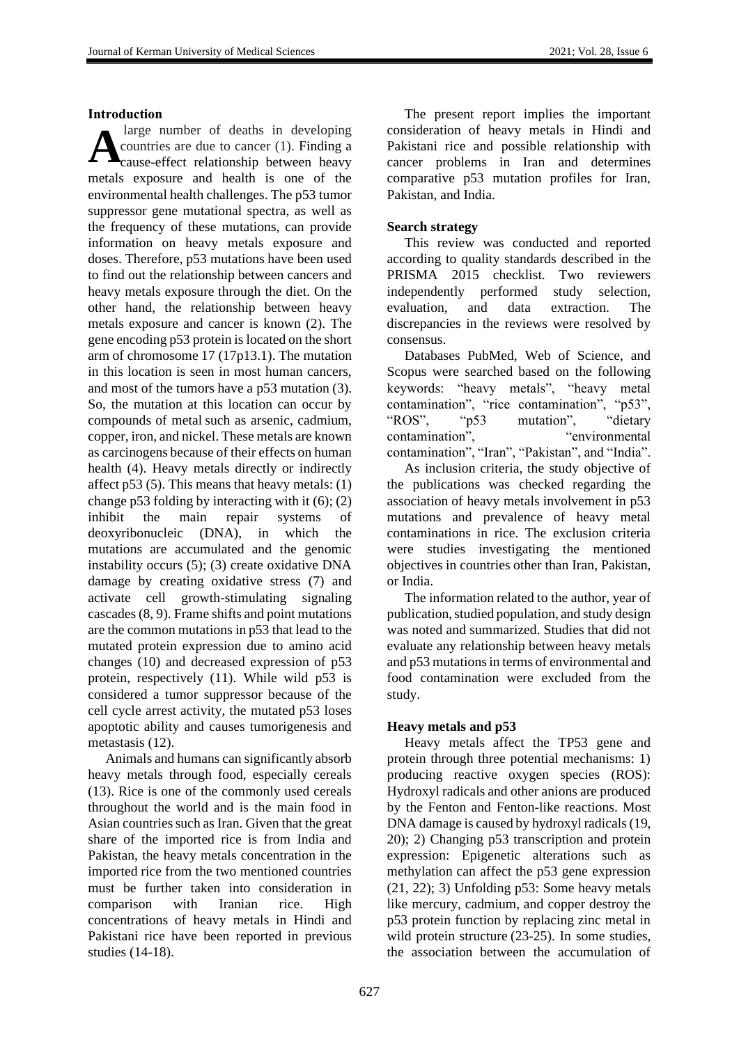#### **Introduction**

large number of deaths in developing countries are due to cancer (1). Finding a cause-effect relationship between heavy metals exposure and health is one of the environmental health challenges. The p53 tumor suppressor gene mutational spectra, as well as the frequency of these mutations, can provide information on heavy metals exposure and doses. Therefore, p53 mutations have been used to find out the relationship between cancers and heavy metals exposure through the diet. On the other hand, the relationship between heavy metals exposure and cancer is known (2). The gene encoding p53 protein is located on the short arm of chromosome 17 (17p13.1). The mutation in this location is seen in most human cancers, and most of the tumors have a p53 mutation (3). So, the mutation at this location can occur by compounds of metal such as arsenic, cadmium, copper, iron, and nickel. These metals are known as carcinogens because of their effects on human health (4). Heavy metals directly or indirectly affect p53 (5). This means that heavy metals: (1) change p53 folding by interacting with it (6); (2) inhibit the main repair systems of deoxyribonucleic (DNA), in which the mutations are accumulated and the genomic instability occurs (5); (3) create oxidative DNA damage by creating oxidative stress (7) and activate cell growth-stimulating signaling cascades (8, 9). Frame shifts and point mutations are the common mutations in p53 that lead to the mutated protein expression due to amino acid changes (10) and decreased expression of p53 protein, respectively (11). While wild p53 is considered a tumor suppressor because of the cell cycle arrest activity, the mutated p53 loses apoptotic ability and causes tumorigenesis and metastasis (12). **A**

Animals and humans can significantly absorb heavy metals through food, especially cereals (13). Rice is one of the commonly used cereals throughout the world and is the main food in Asian countries such as Iran. Given that the great share of the imported rice is from India and Pakistan, the heavy metals concentration in the imported rice from the two mentioned countries must be further taken into consideration in comparison with Iranian rice. High concentrations of heavy metals in Hindi and Pakistani rice have been reported in previous studies (14-18).

The present report implies the important consideration of heavy metals in Hindi and Pakistani rice and possible relationship with cancer problems in Iran and determines comparative p53 mutation profiles for Iran, Pakistan, and India.

#### **Search strategy**

This review was conducted and reported according to quality standards described in the PRISMA 2015 checklist. Two reviewers independently performed study selection, evaluation, and data extraction. The discrepancies in the reviews were resolved by consensus.

Databases PubMed, Web of Science, and Scopus were searched based on the following keywords: "heavy metals", "heavy metal contamination", "rice contamination", "p53", "ROS", "p53 mutation", "dietary contamination", "environmental" contamination", "Iran", "Pakistan", and "India".

As inclusion criteria, the study objective of the publications was checked regarding the association of heavy metals involvement in p53 mutations and prevalence of heavy metal contaminations in rice. The exclusion criteria were studies investigating the mentioned objectives in countries other than Iran, Pakistan, or India.

The information related to the author, year of publication, studied population, and study design was noted and summarized. Studies that did not evaluate any relationship between heavy metals and p53 mutations in terms of environmental and food contamination were excluded from the study.

### **Heavy metals and p53**

Heavy metals affect the TP53 gene and protein through three potential mechanisms: 1) producing reactive oxygen species (ROS): Hydroxyl radicals and other anions are produced by the Fenton and Fenton-like reactions. Most DNA damage is caused by hydroxyl radicals (19, 20); 2) Changing p53 transcription and protein expression: Epigenetic alterations such as methylation can affect the p53 gene expression (21, 22); 3) Unfolding p53: Some heavy metals like mercury, cadmium, and copper destroy the p53 protein function by replacing zinc metal in wild protein structure (23-25). In some studies, the association between the accumulation of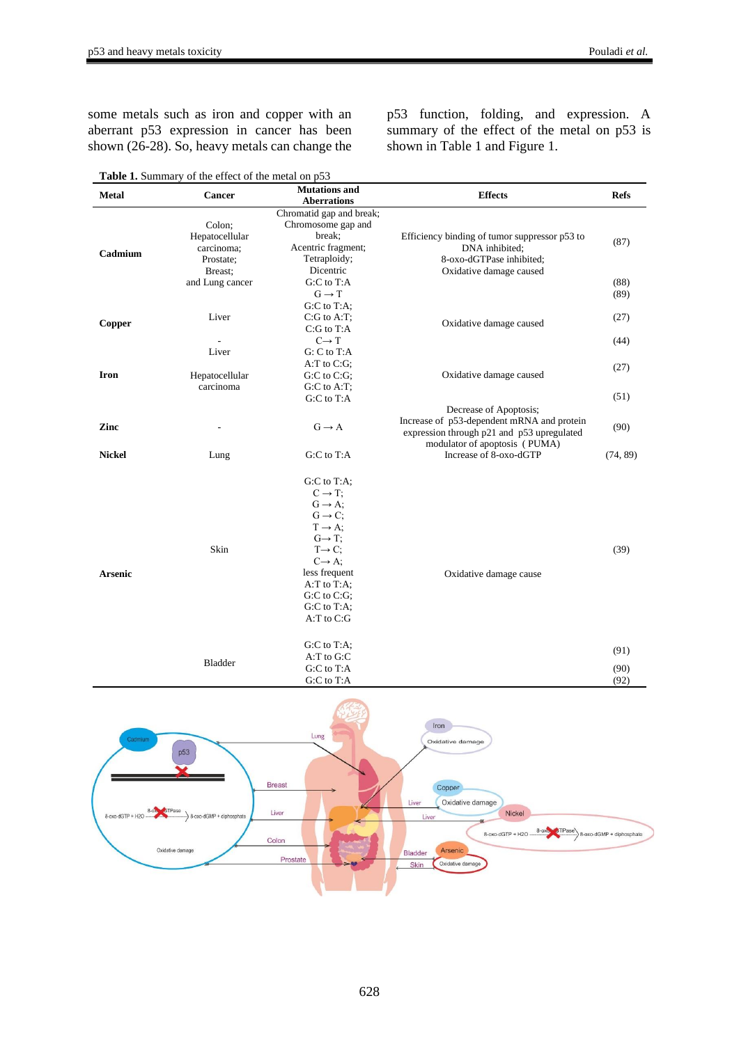some metals such as iron and copper with an aberrant p53 expression in cancer has been shown (26-28). So, heavy metals can change the p53 function, folding, and expression. A summary of the effect of the metal on p53 is shown in Table 1 and Figure 1.

| Table 1. Summary of the effect of the metal on p53 |                                                                |                                                                                                                                                                                                                                                                          |                                                                                                                                                     |                      |  |  |  |  |
|----------------------------------------------------|----------------------------------------------------------------|--------------------------------------------------------------------------------------------------------------------------------------------------------------------------------------------------------------------------------------------------------------------------|-----------------------------------------------------------------------------------------------------------------------------------------------------|----------------------|--|--|--|--|
| <b>Metal</b>                                       | <b>Cancer</b>                                                  | <b>Mutations and</b><br><b>Aberrations</b>                                                                                                                                                                                                                               | <b>Effects</b>                                                                                                                                      | <b>Refs</b>          |  |  |  |  |
| Cadmium                                            | Colon;<br>Hepatocellular<br>carcinoma;<br>Prostate:<br>Breast: | Chromatid gap and break;<br>Chromosome gap and<br>break;<br>Acentric fragment;<br>Tetraploidy;<br>Dicentric                                                                                                                                                              | Efficiency binding of tumor suppressor p53 to<br>DNA inhibited;<br>8-oxo-dGTPase inhibited;<br>Oxidative damage caused                              | (87)                 |  |  |  |  |
|                                                    | and Lung cancer                                                | $G: C$ to $T:A$<br>$G \rightarrow T$<br>G:C to T:A;                                                                                                                                                                                                                      |                                                                                                                                                     | (88)<br>(89)         |  |  |  |  |
| Copper                                             | Liver                                                          | $C:G$ to A:T;<br>C:G to T:A                                                                                                                                                                                                                                              | Oxidative damage caused                                                                                                                             | (27)                 |  |  |  |  |
|                                                    | Liver                                                          | $C \rightarrow T$<br>$G: C$ to $T:A$<br>$A: T$ to $C: G$ ;                                                                                                                                                                                                               |                                                                                                                                                     | (44)<br>(27)         |  |  |  |  |
| <b>Iron</b>                                        | Hepatocellular<br>carcinoma                                    | $G:C$ to $C:G$ ;<br>$G:C$ to $A:T$ ;<br>G:C to T:A                                                                                                                                                                                                                       | Oxidative damage caused                                                                                                                             | (51)                 |  |  |  |  |
| Zinc                                               |                                                                | $G \rightarrow A$                                                                                                                                                                                                                                                        | Decrease of Apoptosis;<br>Increase of p53-dependent mRNA and protein<br>expression through p21 and p53 upregulated<br>modulator of apoptosis (PUMA) | (90)                 |  |  |  |  |
| <b>Nickel</b>                                      | Lung                                                           | G:C to T:A                                                                                                                                                                                                                                                               | Increase of 8-oxo-dGTP                                                                                                                              | (74, 89)             |  |  |  |  |
| <b>Arsenic</b>                                     | Skin                                                           | G:C to T:A;<br>$C \rightarrow T$ :<br>$G \rightarrow A$ ;<br>$G \rightarrow C$ ;<br>$T \rightarrow A$ ;<br>$G \rightarrow T$ ;<br>$T \rightarrow C$ ;<br>$C \rightarrow A$ ;<br>less frequent<br>A:T to T:A;<br>$G:C$ to $C:G$ :<br>$G:C$ to $T:A$ ;<br>$A: T$ to $C: G$ | Oxidative damage cause                                                                                                                              | (39)                 |  |  |  |  |
|                                                    | <b>Bladder</b>                                                 | $G:C$ to $T:A$ ;<br>A:T to G:C<br>G:C to T:A<br>G:C to T:A                                                                                                                                                                                                               |                                                                                                                                                     | (91)<br>(90)<br>(92) |  |  |  |  |

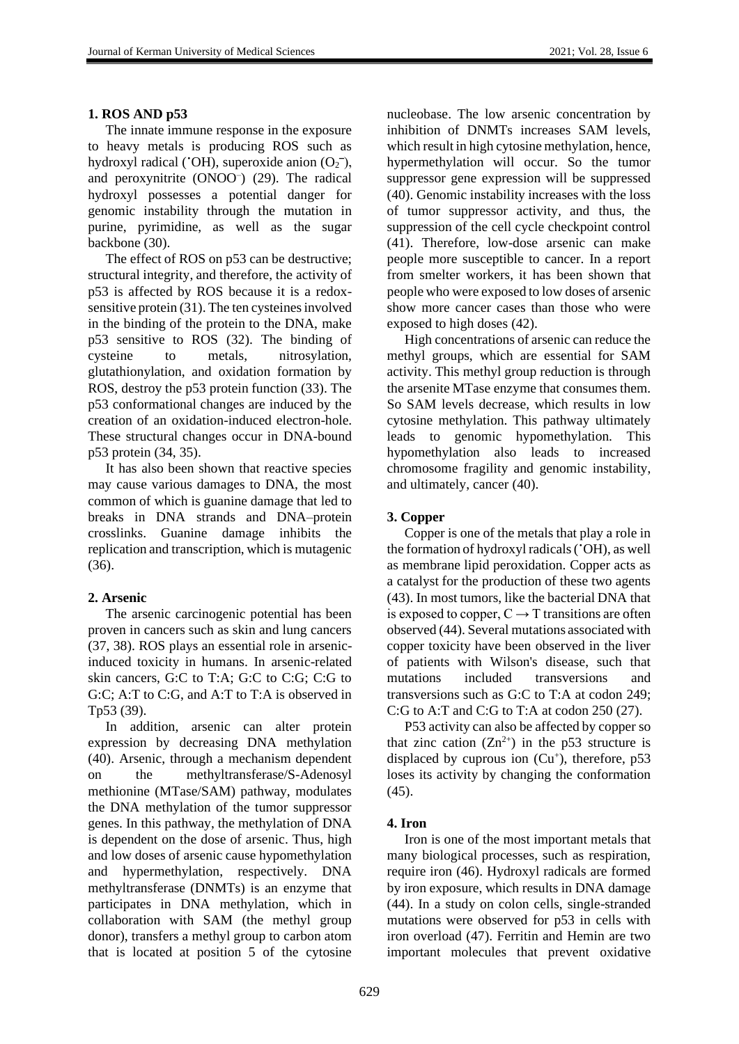#### **1. ROS AND p53**

The innate immune response in the exposure to heavy metals is producing ROS such as hydroxyl radical ( $(OH)$ , superoxide anion  $(O_2^-)$ , and peroxynitrite (ONOO– ) (29). The radical hydroxyl possesses a potential danger for genomic instability through the mutation in purine, pyrimidine, as well as the sugar backbone (30).

The effect of ROS on p53 can be destructive; structural integrity, and therefore, the activity of p53 is affected by ROS because it is a redoxsensitive protein (31). The ten cysteines involved in the binding of the protein to the DNA, make p53 sensitive to ROS (32). The binding of cysteine to metals, nitrosylation, glutathionylation, and oxidation formation by ROS, destroy the p53 protein function (33). The p53 conformational changes are induced by the creation of an oxidation-induced electron-hole. These structural changes occur in DNA-bound p53 protein (34, 35).

It has also been shown that reactive species may cause various damages to DNA, the most common of which is guanine damage that led to breaks in DNA strands and DNA–protein crosslinks. Guanine damage inhibits the replication and transcription, which is mutagenic (36).

#### **2. Arsenic**

The arsenic carcinogenic potential has been proven in cancers such as skin and lung cancers (37, 38). ROS plays an essential role in arsenicinduced toxicity in humans. In arsenic-related skin cancers, G:C to T:A; G:C to C:G; C:G to G:C; A:T to C:G, and A:T to T:A is observed in Tp53 (39).

In addition, arsenic can alter protein expression by decreasing DNA methylation (40). Arsenic, through a mechanism dependent on the methyltransferase/S-Adenosyl methionine (MTase/SAM) pathway, modulates the DNA methylation of the tumor suppressor genes. In this pathway, the methylation of DNA is dependent on the dose of arsenic. Thus, high and low doses of arsenic cause hypomethylation and hypermethylation, respectively. DNA methyltransferase (DNMTs) is an enzyme that participates in DNA methylation, which in collaboration with SAM (the methyl group donor), transfers a methyl group to carbon atom that is located at position 5 of the cytosine nucleobase. The low arsenic concentration by inhibition of DNMTs increases SAM levels, which result in high cytosine methylation, hence, hypermethylation will occur. So the tumor suppressor gene expression will be suppressed (40). Genomic instability increases with the loss of tumor suppressor activity, and thus, the suppression of the cell cycle checkpoint control (41). Therefore, low-dose arsenic can make people more susceptible to cancer. In a report from smelter workers, it has been shown that people who were exposed to low doses of arsenic show more cancer cases than those who were exposed to high doses (42).

High concentrations of arsenic can reduce the methyl groups, which are essential for SAM activity. This methyl group reduction is through the arsenite MTase enzyme that consumes them. So SAM levels decrease, which results in low cytosine methylation. This pathway ultimately leads to genomic hypomethylation. This hypomethylation also leads to increased chromosome fragility and genomic instability, and ultimately, cancer (40).

## **3. Copper**

Copper is one of the metals that play a role in the formation of hydroxyl radicals (**˙**OH), as well as membrane lipid peroxidation. Copper acts as a catalyst for the production of these two agents (43). In most tumors, like the bacterial DNA that is exposed to copper,  $C \rightarrow T$  transitions are often observed (44). Several mutations associated with copper toxicity have been observed in the liver of patients with Wilson's disease, such that mutations included transversions and transversions such as G:C to T:A at codon 249; C:G to A:T and C:G to T:A at codon 250 (27).

P53 activity can also be affected by copper so that zinc cation  $(Zn^{2+})$  in the p53 structure is displaced by cuprous ion  $(Cu<sup>+</sup>)$ , therefore, p53 loses its activity by changing the conformation (45).

### **4. Iron**

Iron is one of the most important metals that many biological processes, such as respiration, require iron (46). Hydroxyl radicals are formed by iron exposure, which results in DNA damage (44). In a study on colon cells, single-stranded mutations were observed for p53 in cells with iron overload (47). Ferritin and Hemin are two important molecules that prevent oxidative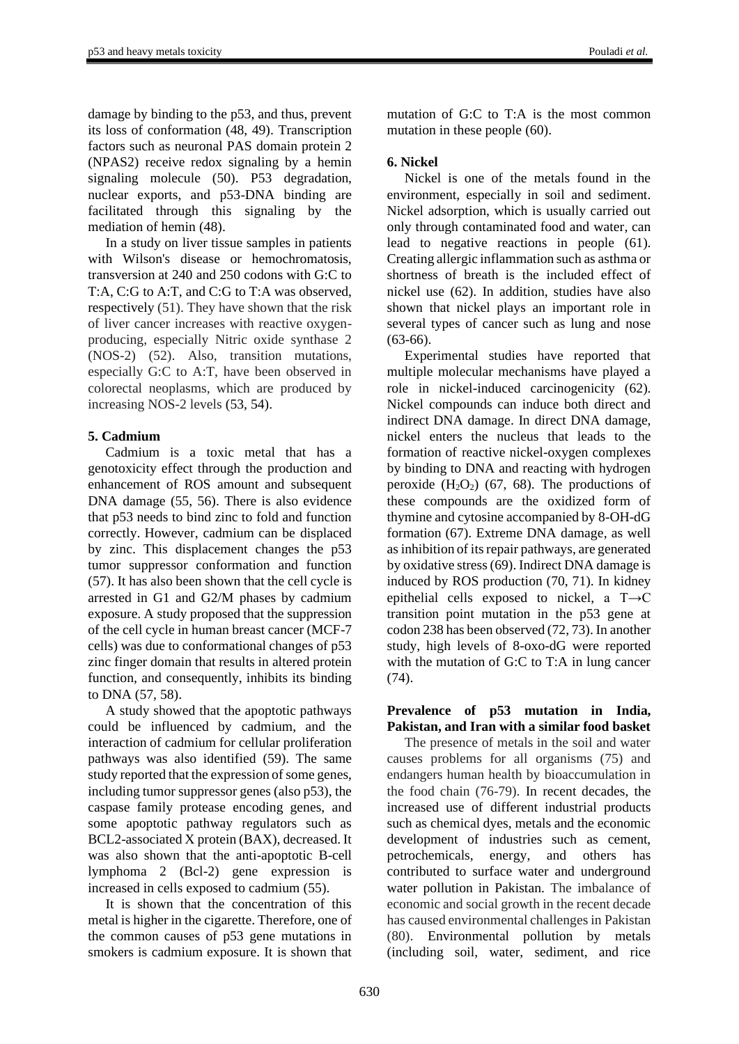damage by binding to the p53, and thus, prevent its loss of conformation (48, 49). Transcription factors such as neuronal PAS domain protein 2 (NPAS2) receive redox signaling by a hemin signaling molecule (50). P53 degradation, nuclear exports, and p53 -DNA binding are facilitated through this signaling by the mediation of hemin (48).

In a study on liver tissue samples in patients with Wilson's disease or hemochromatosis, transversion at 240 and 250 codons with G:C to T:A, C:G to A:T, and C:G to T:A was observed, respectively (51). They have shown that the risk of liver cancer increases with reactive oxygenproducing, especially Nitric oxide synthase 2 (NOS-2) (52). Also, transition mutations, especially G:C to A:T, have been observed in colorectal neoplasms, which are produced by increasing NOS-2 levels (53, 54).

## **5. Cadmium**

Cadmium is a toxic metal that has a genotoxicity effect through the production and enhancement of ROS amount and subsequent DNA damage (55, 56). There is also evidence that p53 needs to bind zinc to fold and function correctly. However, cadmium can be displaced by zinc. This displacement changes the p53 tumor suppressor conformation and function (57). It has also been shown that the cell cycle is arrested in G1 and G2/M phases by cadmium exposure. A study proposed that the suppression of the cell cycle in human breast cancer (MCF-7 cells) was due to conformational changes of p53 zinc finger domain that results in altered protein function, and consequently, inhibits its binding to DNA (57, 58).

A study showed that the apoptotic pathways could be influenced by cadmium, and the interaction of cadmium for cellular proliferation pathways was also identified (59). The same study reported that the expression of some genes, including tumor suppressor genes (also p53), the caspase family protease encoding genes, and some apoptotic pathway regulators such as BCL2-associated X protein (BAX), decreased. It was also shown that the anti-apoptotic B-cell lymphoma 2 (Bcl-2) gene expression is increased in cells exposed to cadmium (55).

It is shown that the concentration of this metal is higher in the cigarette. Therefore, one of the common causes of p53 gene mutations in smokers is cadmium exposure. It is shown that

mutation of G:C to T:A is the most common mutation in these people (60).

## **6. Nickel**

Nickel is one of the metals found in the environment, especially in soil and sediment. Nickel adsorption, which is usually carried out only through contaminated food and water, can lead to negative reactions in people (61). Creating allergic inflammation such as asthma or shortness of breath is the included effect of nickel use (62). In addition, studies have also shown that nickel plays an important role in several types of cancer such as lung and nose (63-66).

Experimental studies have reported that multiple molecular mechanisms have played a role in nickel-induced carcinogenicity (62). Nickel compounds can induce both direct and indirect DNA damage. In direct DNA damage, nickel enters the nucleus that leads to the formation of reactive nickel-oxygen complexes by binding to DNA and reacting with hydrogen peroxide  $(H_2O_2)$  (67, 68). The productions of these compounds are the oxidized form of thymine and cytosine accompanied by 8-OH-dG formation (67). Extreme DNA damage, as well as inhibition of its repair pathways, are generated by oxidative stress (69). Indirect DNA damage is induced by ROS production (70, 71). In kidney epithelial cells exposed to nickel, a T→C transition point mutation in the p53 gene at codon 238 has been observed (72, 73). In another study, high levels of 8-oxo-dG were reported with the mutation of G:C to T:A in lung cancer  $(74)$ .

### **Prevalence of p53 mutation in India, Pakistan, and Iran with a similar food basket**

The presence of metals in the soil and water causes problems for all organisms (75) and endangers human health by bioaccumulation in the food chain (76-79). In recent decades, the increased use of different industrial products such as chemical dyes, metals and the economic development of industries such as cement, petrochemicals, energy, and others has contributed to surface water and underground water pollution in Pakistan. The imbalance of economic and social growth in the recent decade has caused environmental challenges in Pakistan (80). Environmental pollution by metals (including soil, water, sediment, and rice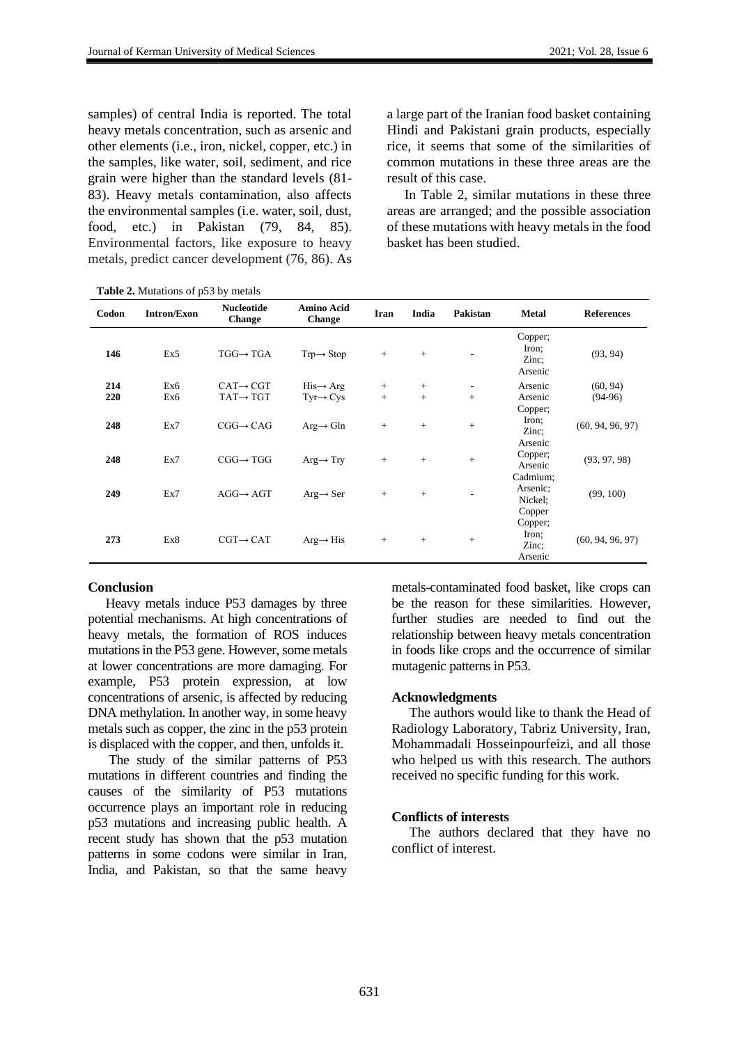samples) of central India is reported. The total heavy metals concentration, such as arsenic and other elements (i.e., iron, nickel, copper, etc.) in the samples, like water, soil, sediment, and rice grain were higher than the standard levels (81- 83). Heavy metals contamination, also affects the environmental samples (i.e. water, soil, dust, food, etc.) in Pakistan (79, 84, 85). Environmental factors, like exposure to heavy metals, predict cancer development (76, 86). As

**Table 2.** Mutations of p53 by metals

a large part of the Iranian food basket containing Hindi and Pakistani grain products, especially rice, it seems that some of the similarities of common mutations in these three areas are the result of this case.

In Table 2, similar mutations in these three areas are arranged; and the possible association of these mutations with heavy metals in the food basket has been studied.

| Codon | <b>Intron/Exon</b> | <b>Nucleotide</b><br>Change | Amino Acid<br><b>Change</b> | Iran   | India | Pakistan                 | <b>Metal</b>                              | <b>References</b> |
|-------|--------------------|-----------------------------|-----------------------------|--------|-------|--------------------------|-------------------------------------------|-------------------|
| 146   | Ex5                | $TGG \rightarrow TGA$       | $Trp \rightarrow Stop$      | $+$    | $+$   | $\overline{\phantom{a}}$ | Copper;<br>Iron;<br>Zinc:<br>Arsenic      | (93, 94)          |
| 214   | Ex6                | $CAT \rightarrow CGT$       | $His \rightarrow Arg$       | $^{+}$ | $+$   | $\overline{\phantom{a}}$ | Arsenic                                   | (60, 94)          |
| 220   | Ex6                | $TAT \rightarrow TGT$       | $Tyr \rightarrow Cys$       | $+$    | $+$   | $+$                      | Arsenic                                   | $(94-96)$         |
| 248   | Ex7                | $CGG \rightarrow CAG$       | $Arg \rightarrow Gln$       | $+$    | $+$   | $+$                      | Copper;<br>Iron;<br>Zinc:<br>Arsenic      | (60, 94, 96, 97)  |
| 248   | Ex7                | $CGG \rightarrow TGG$       | $Arg \rightarrow Try$       | $+$    | $+$   | $\, +$                   | Copper;<br>Arsenic                        | (93, 97, 98)      |
| 249   | Ex7                | $AGG \rightarrow AGT$       | $Arg \rightarrow Ser$       | $+$    | $+$   |                          | Cadmium;<br>Arsenic;<br>Nickel;<br>Copper | (99, 100)         |
| 273   | Ex8                | $CGT \rightarrow CAT$       | $Arg \rightarrow His$       | $+$    | $+$   | $+$                      | Copper;<br>Iron;<br>Zinc;<br>Arsenic      | (60, 94, 96, 97)  |

#### **Conclusion**

Heavy metals induce P53 damages by three potential mechanisms. At high concentrations of heavy metals, the formation of ROS induces mutations in the P53 gene. However, some metals at lower concentrations are more damaging. For example, P53 protein expression, at low concentrations of arsenic, is affected by reducing DNA methylation. In another way, in some heavy metals such as copper, the zinc in the p53 protein is displaced with the copper, and then, unfolds it.

The study of the similar patterns of P53 mutations in different countries and finding the causes of the similarity of P53 mutations occurrence plays an important role in reducing p53 mutations and increasing public health. A recent study has shown that the p53 mutation patterns in some codons were similar in Iran, India, and Pakistan, so that the same heavy metals-contaminated food basket, like crops can be the reason for these similarities. However, further studies are needed to find out the relationship between heavy metals concentration in foods like crops and the occurrence of similar mutagenic patterns in P53.

#### **Acknowledgments**

The authors would like to thank the Head of Radiology Laboratory, Tabriz University, Iran, Mohammadali Hosseinpourfeizi, and all those who helped us with this research. The authors received no specific funding for this work.

#### **Conflicts of interests**

The authors declared that they have no conflict of interest.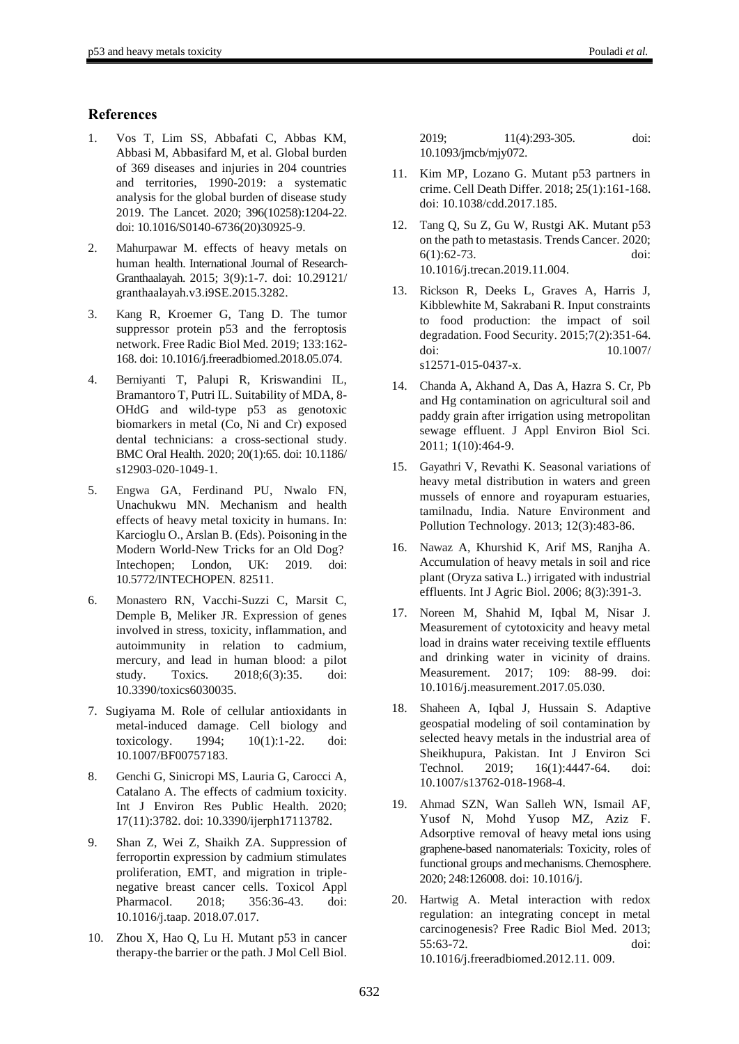## **References**

- 1. Vos T, Lim SS, Abbafati C, Abbas KM, Abbasi M, Abbasifard M, et al. Global burden of 369 diseases and injuries in 204 countries and territories, 1990-2019: a systematic analysis for the global burden of disease study 2019. The Lancet. 2020; 396(10258):1204-22. doi: 10.1016/S0140-6736(20)30925-9.
- 2. Mahurpawar M. effects of heavy metals on human health. International Journal of Research-Granthaalayah. 2015; 3(9):1-7. doi: 10.29121/ granthaalayah.v3.i9SE.2015.3282.
- 3. Kang R, Kroemer G, Tang D. The tumor suppressor protein p53 and the ferroptosis network. Free Radic Biol Med. 2019; 133:162- 168. doi: 10.1016/j.freeradbiomed.2018.05.074.
- 4. Berniyanti T, Palupi R, Kriswandini IL, Bramantoro T, Putri IL. Suitability of MDA, 8- OHdG and wild-type p53 as genotoxic biomarkers in metal (Co, Ni and Cr) exposed dental technicians: a cross-sectional study. BMC Oral Health. 2020; 20(1):65. doi: 10.1186/ s12903-020-1049-1.
- 5. Engwa GA, Ferdinand PU, Nwalo FN, Unachukwu MN. Mechanism and health effects of heavy metal toxicity in humans. In: Karcioglu O., Arslan B. (Eds). Poisoning in the Modern World-New Tricks for an Old Dog? Intechopen; London, UK: 2019. doi: 10.5772/INTECHOPEN. 82511.
- 6. Monastero RN, Vacchi-Suzzi C, Marsit C, Demple B, Meliker JR. Expression of genes involved in stress, toxicity, inflammation, and autoimmunity in relation to cadmium, mercury, and lead in human blood: a pilot study. Toxics. 2018;6(3):35. doi: 10.3390/toxics6030035.
- 7. Sugiyama M. Role of cellular antioxidants in metal-induced damage. Cell biology and toxicology. 1994; 10(1):1-22. doi: 10.1007/BF00757183.
- 8. Genchi G, Sinicropi MS, Lauria G, Carocci A, Catalano A. The effects of cadmium toxicity. Int J Environ Res Public Health. 2020; 17(11):3782. doi: 10.3390/ijerph17113782.
- 9. Shan Z, Wei Z, Shaikh ZA. Suppression of ferroportin expression by cadmium stimulates proliferation, EMT, and migration in triplenegative breast cancer cells. Toxicol Appl Pharmacol. 2018; 356:36-43. doi: 10.1016/j.taap. 2018.07.017.
- 10. Zhou X, Hao Q, Lu H. Mutant p53 in cancer therapy-the barrier or the path. J Mol Cell Biol.

| 2019:                | $11(4):293-305.$ | doi: |
|----------------------|------------------|------|
| 10.1093/jmcb/mjy072. |                  |      |

- 11. Kim MP, Lozano G. Mutant p53 partners in crime. Cell Death Differ. 2018; 25(1):161-168. doi: 10.1038/cdd.2017.185.
- 12. Tang Q, Su Z, Gu W, Rustgi AK. Mutant p53 on the path to metastasis. Trends Cancer. 2020; 6(1):62-73. doi: 10.1016/j.trecan.2019.11.004.
- 13. Rickson R, Deeks L, Graves A, Harris J, Kibblewhite M, Sakrabani R. Input constraints to food production: the impact of soil degradation. Food Security. 2015;7(2):351-64. doi: 10.1007/ s12571-015-0437-x.
- 14. Chanda A, Akhand A, Das A, Hazra S. Cr, Pb and Hg contamination on agricultural soil and paddy grain after irrigation using metropolitan sewage effluent. J Appl Environ Biol Sci. 2011; 1(10):464-9.
- 15. Gayathri V, Revathi K. Seasonal variations of heavy metal distribution in waters and green mussels of ennore and royapuram estuaries, tamilnadu, India. Nature Environment and Pollution Technology. 2013; 12(3):483-86.
- 16. Nawaz A, Khurshid K, Arif MS, Ranjha A. Accumulation of heavy metals in soil and rice plant (Oryza sativa L.) irrigated with industrial effluents. Int J Agric Biol. 2006; 8(3):391-3.
- 17. Noreen M, Shahid M, Iqbal M, Nisar J. Measurement of cytotoxicity and heavy metal load in drains water receiving textile effluents and drinking water in vicinity of drains. Measurement. 2017; 109: 88-99. doi: 10.1016/j.measurement.2017.05.030.
- 18. Shaheen A, Iqbal J, Hussain S. Adaptive geospatial modeling of soil contamination by selected heavy metals in the industrial area of Sheikhupura, Pakistan. Int J Environ Sci Technol. 2019; 16(1):4447-64. doi: 10.1007/s13762-018-1968-4.
- 19. Ahmad SZN, Wan Salleh WN, Ismail AF, Yusof N, Mohd Yusop MZ, Aziz F. Adsorptive removal of heavy metal ions using graphene-based nanomaterials: Toxicity, roles of functional groups and mechanisms. Chemosphere. 2020; 248:126008. doi: 10.1016/j.
- 20. Hartwig A. Metal interaction with redox regulation: an integrating concept in metal carcinogenesis? Free Radic Biol Med. 2013; 55:63-72. doi: 10.1016/j.freeradbiomed.2012.11. 009.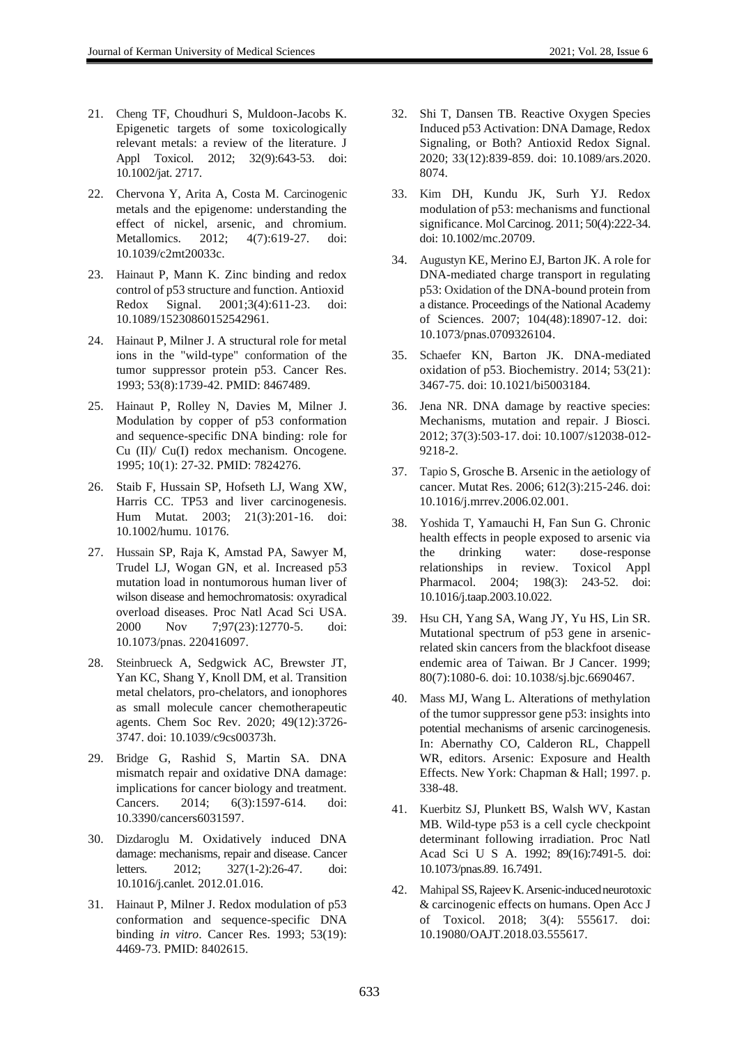- 21. Cheng TF, Choudhuri S, Muldoon-Jacobs K. Epigenetic targets of some toxicologically relevant metals: a review of the literature. J Appl Toxicol. 2012; 32(9):643-53. doi: 10.1002/jat. 2717.
- 22. Chervona Y, Arita A, Costa M. Carcinogenic metals and the epigenome: understanding the effect of nickel, arsenic, and chromium. Metallomics. 2012; 4(7):619-27. doi: 10.1039/c2mt20033c.
- 23. Hainaut P, Mann K. Zinc binding and redox control of p53 structure and function. Antioxid Redox Signal. 2001;3(4):611-23. doi: 10.1089/15230860152542961.
- 24. Hainaut P, Milner J. A structural role for metal ions in the "wild-type" conformation of the tumor suppressor protein p53. Cancer Res. 1993; 53(8):1739-42. PMID: 8467489.
- 25. Hainaut P, Rolley N, Davies M, Milner J. Modulation by copper of p53 conformation and sequence-specific DNA binding: role for Cu (II)/ Cu(I) redox mechanism. Oncogene. 1995; 10(1): 27-32. PMID: 7824276.
- 26. Staib F, Hussain SP, Hofseth LJ, Wang XW, Harris CC. TP53 and liver carcinogenesis. Hum Mutat. 2003; 21(3):201-16. doi: 10.1002/humu. 10176.
- 27. Hussain SP, Raja K, Amstad PA, Sawyer M, Trudel LJ, Wogan GN, et al. Increased p53 mutation load in nontumorous human liver of wilson disease and hemochromatosis: oxyradical overload diseases. Proc Natl Acad Sci USA. 2000 Nov 7;97(23):12770-5. doi: 10.1073/pnas. 220416097.
- 28. Steinbrueck A, Sedgwick AC, Brewster JT, Yan KC, Shang Y, Knoll DM, et al. Transition metal chelators, pro-chelators, and ionophores as small molecule cancer chemotherapeutic agents. Chem Soc Rev. 2020; 49(12):3726- 3747. doi: 10.1039/c9cs00373h.
- 29. Bridge G, Rashid S, Martin SA. DNA mismatch repair and oxidative DNA damage: implications for cancer biology and treatment. Cancers. 2014; 6(3):1597-614. doi: 10.3390/cancers6031597.
- 30. Dizdaroglu M. Oxidatively induced DNA damage: mechanisms, repair and disease. Cancer letters. 2012; 327(1-2):26-47. doi: 10.1016/j.canlet. 2012.01.016.
- 31. Hainaut P, Milner J. Redox modulation of p53 conformation and sequence-specific DNA binding *in vitro*. Cancer Res. 1993; 53(19): 4469-73. PMID: 8402615.
- 32. Shi T, Dansen TB. Reactive Oxygen Species Induced p53 Activation: DNA Damage, Redox Signaling, or Both? Antioxid Redox Signal. 2020; 33(12):839-859. doi: 10.1089/ars.2020. 8074.
- 33. Kim DH, Kundu JK, Surh YJ. Redox modulation of p53: mechanisms and functional significance. Mol Carcinog. 2011; 50(4):222-34. doi: 10.1002/mc.20709.
- 34. Augustyn KE, Merino EJ, Barton JK. A role for DNA-mediated charge transport in regulating p53: Oxidation of the DNA-bound protein from a distance. Proceedings of the National Academy of Sciences. 2007; 104(48):18907-12. doi: 10.1073/pnas.0709326104.
- 35. Schaefer KN, Barton JK. DNA-mediated oxidation of p53. Biochemistry. 2014; 53(21): 3467-75. doi: 10.1021/bi5003184.
- 36. Jena NR. DNA damage by reactive species: Mechanisms, mutation and repair. J Biosci. 2012; 37(3):503-17. doi: 10.1007/s12038-012- 9218-2.
- 37. Tapio S, Grosche B. Arsenic in the aetiology of cancer. Mutat Res. 2006; 612(3):215-246. doi: 10.1016/j.mrrev.2006.02.001.
- 38. Yoshida T, Yamauchi H, Fan Sun G. Chronic health effects in people exposed to arsenic via the drinking water: dose-response relationships in review. Toxicol Appl Pharmacol. 2004; 198(3): 243-52. doi: 10.1016/j.taap.2003.10.022.
- 39. Hsu CH, Yang SA, Wang JY, Yu HS, Lin SR. Mutational spectrum of p53 gene in arsenicrelated skin cancers from the blackfoot disease endemic area of Taiwan. Br J Cancer. 1999; 80(7):1080-6. doi: 10.1038/sj.bjc.6690467.
- 40. Mass MJ, Wang L. Alterations of methylation of the tumor suppressor gene p53: insights into potential mechanisms of arsenic carcinogenesis. In: Abernathy CO, Calderon RL, Chappell WR, editors. Arsenic: Exposure and Health Effects. New York: Chapman & Hall; 1997. p. 338-48.
- 41. Kuerbitz SJ, Plunkett BS, Walsh WV, Kastan MB. Wild-type p53 is a cell cycle checkpoint determinant following irradiation. Proc Natl Acad Sci U S A. 1992; 89(16):7491-5. doi: 10.1073/pnas.89. 16.7491.
- 42. Mahipal SS, Rajeev K. Arsenic-induced neurotoxic & carcinogenic effects on humans. Open Acc J of Toxicol. 2018; 3(4): 555617. doi: 10.19080/OAJT.2018.03.555617.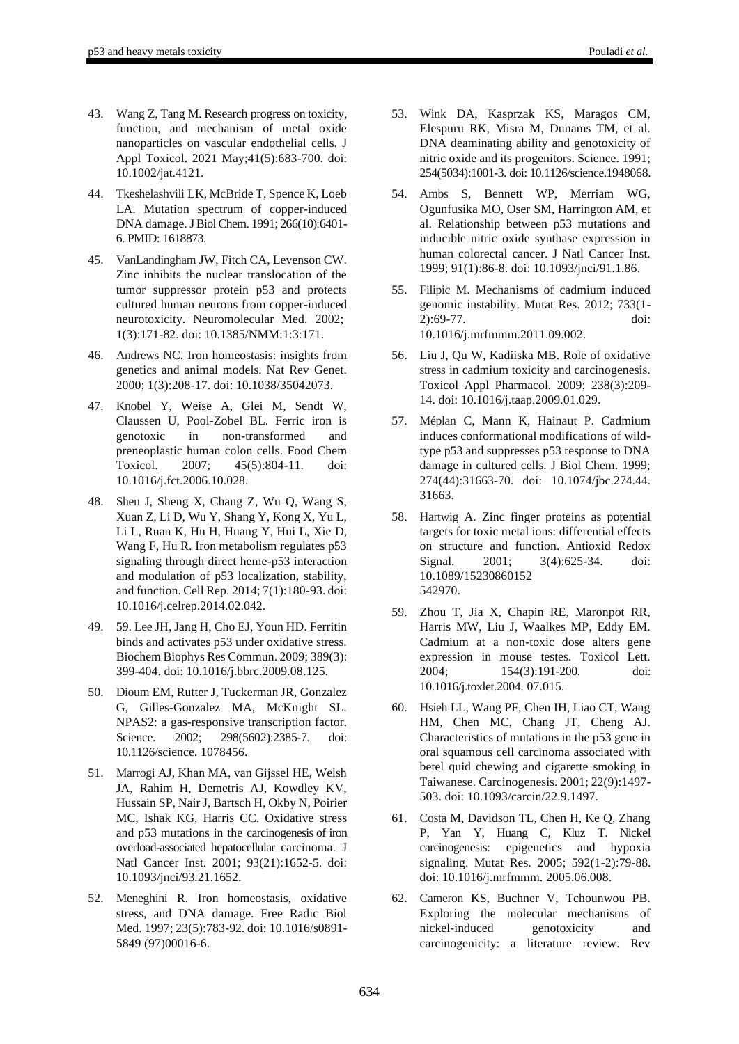- 43. Wang Z, Tang M. Research progress on toxicity, function, and mechanism of metal oxide nanoparticles on vascular endothelial cells. J Appl Toxicol. 2021 May;41(5):683-700. doi: 10.1002/jat.4121.
- 44. Tkeshelashvili LK, McBride T, Spence K, Loeb LA. Mutation spectrum of copper-induced DNA damage. J Biol Chem. 1991; 266(10):6401-6. PMID: 1618873.
- 45. VanLandingham JW, Fitch CA, Levenson CW. Zinc inhibits the nuclear translocation of the tumor suppressor protein p53 and protects cultured human neurons from copper-induced neurotoxicity. Neuromolecular Med. 2002; 1(3):171-82. doi: 10.1385/NMM:1:3:171.
- 46. Andrews NC. Iron homeostasis: insights from genetics and animal models. Nat Rev Genet. 2000; 1(3):208-17. doi: 10.1038/35042073.
- 47. Knobel Y, Weise A, Glei M, Sendt W, Claussen U, Pool-Zobel BL. Ferric iron is genotoxic in non-transformed and preneoplastic human colon cells. Food Chem Toxicol. 2007; 45(5):804-11. doi: 10.1016/j.fct.2006.10.028.
- 48. Shen J, Sheng X, Chang Z, Wu Q, Wang S, Xuan Z, Li D, Wu Y, Shang Y, Kong X, Yu L, Li L, Ruan K, Hu H, Huang Y, Hui L, Xie D, Wang F, Hu R. Iron metabolism regulates p53 signaling through direct heme-p53 interaction and modulation of p53 localization, stability, and function. Cell Rep. 2014; 7(1):180-93. doi: 10.1016/j.celrep.2014.02.042.
- 49. 59. Lee JH, Jang H, Cho EJ, Youn HD. Ferritin binds and activates p53 under oxidative stress. Biochem Biophys Res Commun. 2009; 389(3): 399-404. doi: 10.1016/j.bbrc.2009.08.125.
- 50. Dioum EM, Rutter J, Tuckerman JR, Gonzalez G, Gilles-Gonzalez MA, McKnight SL. NPAS2: a gas-responsive transcription factor. Science. 2002; 298(5602):2385-7. doi: 10.1126/science. 1078456.
- 51. Marrogi AJ, Khan MA, van Gijssel HE, Welsh JA, Rahim H, Demetris AJ, Kowdley KV, Hussain SP, Nair J, Bartsch H, Okby N, Poirier MC, Ishak KG, Harris CC. Oxidative stress and p53 mutations in the carcinogenesis of iron overload-associated hepatocellular carcinoma. J Natl Cancer Inst. 2001; 93(21):1652-5. doi: 10.1093/jnci/93.21.1652.
- 52. Meneghini R. Iron homeostasis, oxidative stress, and DNA damage. Free Radic Biol Med. 1997; 23(5):783-92. doi: 10.1016/s0891- 5849 (97)00016-6.
- 53. Wink DA, Kasprzak KS, Maragos CM, Elespuru RK, Misra M, Dunams TM, et al. DNA deaminating ability and genotoxicity of nitric oxide and its progenitors. Science. 1991; 254(5034):1001-3. doi: 10.1126/science.1948068.
- 54. Ambs S, Bennett WP, Merriam WG, Ogunfusika MO, Oser SM, Harrington AM, et al. Relationship between p53 mutations and inducible nitric oxide synthase expression in human colorectal cancer. J Natl Cancer Inst. 1999; 91(1):86-8. doi: 10.1093/jnci/91.1.86.
- 55. Filipic M. Mechanisms of cadmium induced genomic instability. Mutat Res. 2012; 733(1- 2):69-77. doi: 10.1016/j.mrfmmm.2011.09.002.
- 56. Liu J, Qu W, Kadiiska MB. Role of oxidative stress in cadmium toxicity and carcinogenesis. Toxicol Appl Pharmacol. 2009; 238(3):209- 14. doi: 10.1016/j.taap.2009.01.029.
- 57. Méplan C, Mann K, Hainaut P. Cadmium induces conformational modifications of wildtype p53 and suppresses p53 response to DNA damage in cultured cells. J Biol Chem. 1999; 274(44):31663-70. doi: 10.1074/jbc.274.44. 31663.
- 58. Hartwig A. Zinc finger proteins as potential targets for toxic metal ions: differential effects on structure and function. Antioxid Redox Signal. 2001; 3(4):625-34. doi: 10.1089/15230860152 542970.
- 59. Zhou T, Jia X, Chapin RE, Maronpot RR, Harris MW, Liu J, Waalkes MP, Eddy EM. Cadmium at a non-toxic dose alters gene expression in mouse testes. Toxicol Lett. 2004; 154(3):191-200. doi: 10.1016/j.toxlet.2004. 07.015.
- 60. Hsieh LL, Wang PF, Chen IH, Liao CT, Wang HM, Chen MC, Chang JT, Cheng AJ. Characteristics of mutations in the p53 gene in oral squamous cell carcinoma associated with betel quid chewing and cigarette smoking in Taiwanese. Carcinogenesis. 2001; 22(9):1497- 503. doi: 10.1093/carcin/22.9.1497.
- 61. Costa M, Davidson TL, Chen H, Ke Q, Zhang P, Yan Y, Huang C, Kluz T. Nickel carcinogenesis: epigenetics and hypoxia signaling. Mutat Res. 2005; 592(1-2):79-88. doi: 10.1016/j.mrfmmm. 2005.06.008.
- 62. Cameron KS, Buchner V, Tchounwou PB. Exploring the molecular mechanisms of nickel-induced genotoxicity and carcinogenicity: a literature review. Rev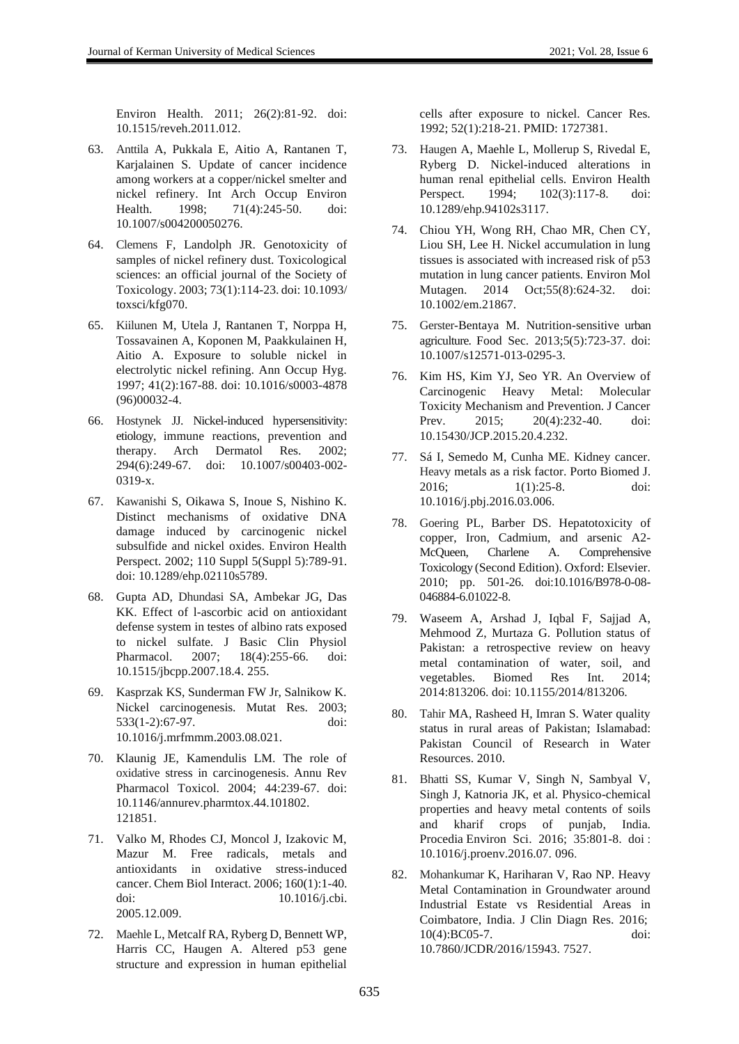- 63. Anttila A, Pukkala E, Aitio A, Rantanen T, Karjalainen S. Update of cancer incidence among workers at a copper/nickel smelter and nickel refinery. Int Arch Occup Environ Health. 1998; 71(4):245-50. doi: 10.1007/s004200050276.
- 64. Clemens F, Landolph JR. Genotoxicity of samples of nickel refinery dust. Toxicological sciences: an official journal of the Society of Toxicology. 2003; 73(1):114-23. doi: 10.1093/ toxsci/kfg070.
- 65. Kiilunen M, Utela J, Rantanen T, Norppa H, Tossavainen A, Koponen M, Paakkulainen H, Aitio A. Exposure to soluble nickel in electrolytic nickel refining. Ann Occup Hyg. 1997; 41(2):167-88. doi: 10.1016/s0003-4878 (96)00032-4.
- 66. Hostynek JJ. Nickel-induced hypersensitivity: etiology, immune reactions, prevention and therapy. Arch Dermatol Res. 2002; 294(6):249-67. doi: 10.1007/s00403-002- 0319-x.
- 67. Kawanishi S, Oikawa S, Inoue S, Nishino K. Distinct mechanisms of oxidative DNA damage induced by carcinogenic nickel subsulfide and nickel oxides. Environ Health Perspect. 2002; 110 Suppl 5(Suppl 5):789-91. doi: 10.1289/ehp.02110s5789.
- 68. Gupta AD, Dhundasi SA, Ambekar JG, Das KK. Effect of l-ascorbic acid on antioxidant defense system in testes of albino rats exposed to nickel sulfate. J Basic Clin Physiol Pharmacol. 2007; 18(4):255-66. doi: 10.1515/jbcpp.2007.18.4. 255.
- 69. Kasprzak KS, Sunderman FW Jr, Salnikow K. Nickel carcinogenesis. Mutat Res. 2003; 533(1-2):67-97. doi: 10.1016/j.mrfmmm.2003.08.021.
- 70. Klaunig JE, Kamendulis LM. The role of oxidative stress in carcinogenesis. Annu Rev Pharmacol Toxicol. 2004; 44:239-67. doi: 10.1146/annurev.pharmtox.44.101802. 121851.
- 71. Valko M, Rhodes CJ, Moncol J, Izakovic M, Mazur M. Free radicals, metals and antioxidants in oxidative stress-induced cancer. Chem Biol Interact. 2006; 160(1):1-40. doi: 10.1016/j.cbi. 2005.12.009.
- 72. Maehle L, Metcalf RA, Ryberg D, Bennett WP, Harris CC, Haugen A. Altered p53 gene structure and expression in human epithelial

cells after exposure to nickel. Cancer Res. 1992; 52(1):218-21. PMID: 1727381.

- 73. Haugen A, Maehle L, Mollerup S, Rivedal E, Ryberg D. Nickel-induced alterations in human renal epithelial cells. Environ Health Perspect. 1994; 102(3):117-8. doi: 10.1289/ehp.94102s3117.
- 74. Chiou YH, Wong RH, Chao MR, Chen CY, Liou SH, Lee H. Nickel accumulation in lung tissues is associated with increased risk of p53 mutation in lung cancer patients. Environ Mol Mutagen. 2014 Oct;55(8):624-32. doi: 10.1002/em.21867.
- 75. Gerster-Bentaya M. Nutrition-sensitive urban agriculture. Food Sec. 2013;5(5):723-37. doi: 10.1007/s12571-013-0295-3.
- 76. Kim HS, Kim YJ, Seo YR. An Overview of Carcinogenic Heavy Metal: Molecular Toxicity Mechanism and Prevention. J Cancer Prev. 2015: 20(4):232-40. doi: 10.15430/JCP.2015.20.4.232.
- 77. Sá I, Semedo M, Cunha ME. Kidney cancer. Heavy metals as a risk factor. Porto Biomed J. 2016; 1(1):25-8. doi: 10.1016/j.pbj.2016.03.006.
- 78. Goering PL, Barber DS. Hepatotoxicity of copper, Iron, Cadmium, and arsenic A2- McQueen, Charlene A. Comprehensive Toxicology (Second Edition). Oxford: Elsevier. 2010; pp. 501-26. doi:10.1016/B978-0-08- 046884-6.01022-8.
- 79. Waseem A, Arshad J, Iqbal F, Sajjad A, Mehmood Z, Murtaza G. Pollution status of Pakistan: a retrospective review on heavy metal contamination of water, soil, and vegetables. Biomed Res Int. 2014; 2014:813206. doi: 10.1155/2014/813206.
- 80. Tahir MA, Rasheed H, Imran S. Water quality status in rural areas of Pakistan; Islamabad: Pakistan Council of Research in Water Resources. 2010.
- 81. Bhatti SS, Kumar V, Singh N, Sambyal V, Singh J, Katnoria JK, et al. Physico-chemical properties and heavy metal contents of soils and kharif crops of punjab, India. Procedia Environ Sci. 2016; 35:801-8. doi : 10.1016/j.proenv.2016.07. 096.
- 82. Mohankumar K, Hariharan V, Rao NP. Heavy Metal Contamination in Groundwater around Industrial Estate vs Residential Areas in Coimbatore, India. J Clin Diagn Res. 2016; 10(4):BC05-7. doi: 10.7860/JCDR/2016/15943. 7527.